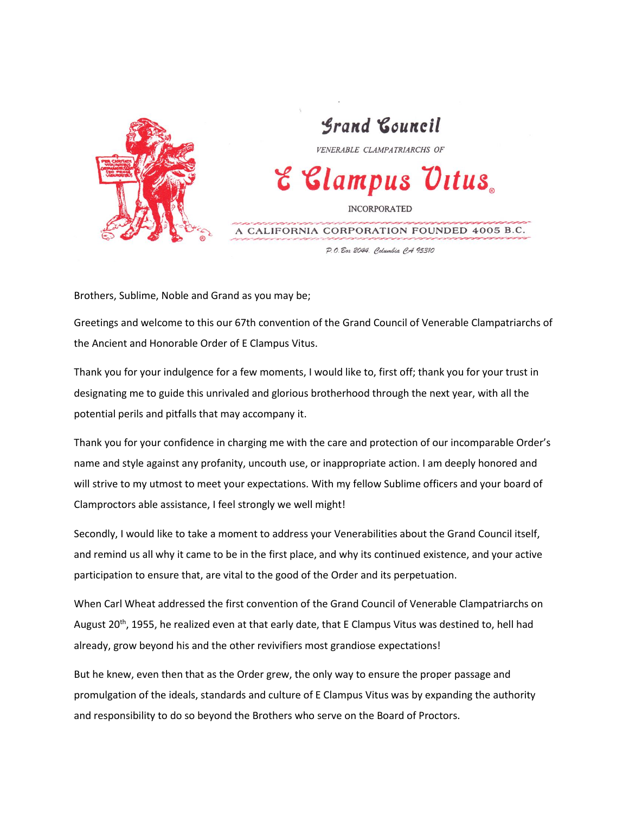

## Srand Council VENERABLE CLAMPATRIARCHS OF E Clampus Ultus. **INCORPORATED** A CALIFORNIA CORPORATION FOUNDED 4005 B.C.

P.O. Box 2044. Columbia CA 95310

Brothers, Sublime, Noble and Grand as you may be;

Greetings and welcome to this our 67th convention of the Grand Council of Venerable Clampatriarchs of the Ancient and Honorable Order of E Clampus Vitus.

Thank you for your indulgence for a few moments, I would like to, first off; thank you for your trust in designating me to guide this unrivaled and glorious brotherhood through the next year, with all the potential perils and pitfalls that may accompany it.

Thank you for your confidence in charging me with the care and protection of our incomparable Order's name and style against any profanity, uncouth use, or inappropriate action. I am deeply honored and will strive to my utmost to meet your expectations. With my fellow Sublime officers and your board of Clamproctors able assistance, I feel strongly we well might!

Secondly, I would like to take a moment to address your Venerabilities about the Grand Council itself, and remind us all why it came to be in the first place, and why its continued existence, and your active participation to ensure that, are vital to the good of the Order and its perpetuation.

When Carl Wheat addressed the first convention of the Grand Council of Venerable Clampatriarchs on August 20<sup>th</sup>, 1955, he realized even at that early date, that E Clampus Vitus was destined to, hell had already, grow beyond his and the other revivifiers most grandiose expectations!

But he knew, even then that as the Order grew, the only way to ensure the proper passage and promulgation of the ideals, standards and culture of E Clampus Vitus was by expanding the authority and responsibility to do so beyond the Brothers who serve on the Board of Proctors.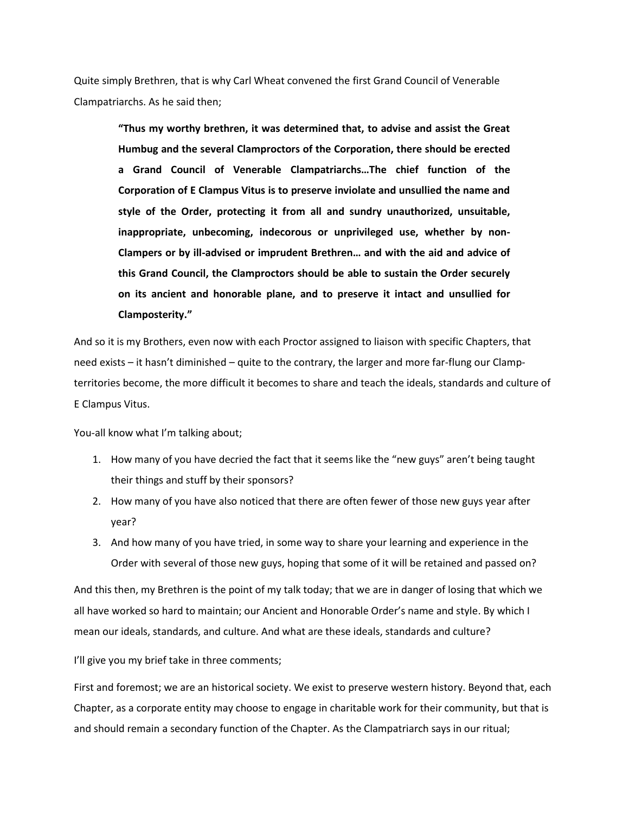Quite simply Brethren, that is why Carl Wheat convened the first Grand Council of Venerable Clampatriarchs. As he said then;

> **"Thus my worthy brethren, it was determined that, to advise and assist the Great Humbug and the several Clamproctors of the Corporation, there should be erected a Grand Council of Venerable Clampatriarchs…The chief function of the Corporation of E Clampus Vitus is to preserve inviolate and unsullied the name and style of the Order, protecting it from all and sundry unauthorized, unsuitable, inappropriate, unbecoming, indecorous or unprivileged use, whether by non-Clampers or by ill-advised or imprudent Brethren… and with the aid and advice of this Grand Council, the Clamproctors should be able to sustain the Order securely on its ancient and honorable plane, and to preserve it intact and unsullied for Clamposterity."**

And so it is my Brothers, even now with each Proctor assigned to liaison with specific Chapters, that need exists – it hasn't diminished – quite to the contrary, the larger and more far-flung our Clampterritories become, the more difficult it becomes to share and teach the ideals, standards and culture of E Clampus Vitus.

You-all know what I'm talking about;

- 1. How many of you have decried the fact that it seems like the "new guys" aren't being taught their things and stuff by their sponsors?
- 2. How many of you have also noticed that there are often fewer of those new guys year after year?
- 3. And how many of you have tried, in some way to share your learning and experience in the Order with several of those new guys, hoping that some of it will be retained and passed on?

And this then, my Brethren is the point of my talk today; that we are in danger of losing that which we all have worked so hard to maintain; our Ancient and Honorable Order's name and style. By which I mean our ideals, standards, and culture. And what are these ideals, standards and culture?

I'll give you my brief take in three comments;

First and foremost; we are an historical society. We exist to preserve western history. Beyond that, each Chapter, as a corporate entity may choose to engage in charitable work for their community, but that is and should remain a secondary function of the Chapter. As the Clampatriarch says in our ritual;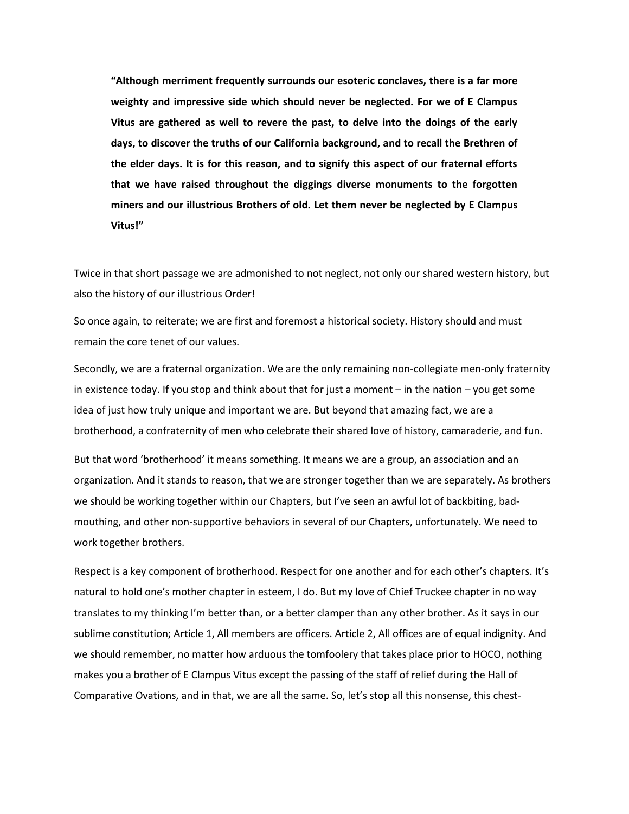**"Although merriment frequently surrounds our esoteric conclaves, there is a far more weighty and impressive side which should never be neglected. For we of E Clampus Vitus are gathered as well to revere the past, to delve into the doings of the early days, to discover the truths of our California background, and to recall the Brethren of the elder days. It is for this reason, and to signify this aspect of our fraternal efforts that we have raised throughout the diggings diverse monuments to the forgotten miners and our illustrious Brothers of old. Let them never be neglected by E Clampus Vitus!"**

Twice in that short passage we are admonished to not neglect, not only our shared western history, but also the history of our illustrious Order!

So once again, to reiterate; we are first and foremost a historical society. History should and must remain the core tenet of our values.

Secondly, we are a fraternal organization. We are the only remaining non-collegiate men-only fraternity in existence today. If you stop and think about that for just a moment – in the nation – you get some idea of just how truly unique and important we are. But beyond that amazing fact, we are a brotherhood, a confraternity of men who celebrate their shared love of history, camaraderie, and fun.

But that word 'brotherhood' it means something. It means we are a group, an association and an organization. And it stands to reason, that we are stronger together than we are separately. As brothers we should be working together within our Chapters, but I've seen an awful lot of backbiting, badmouthing, and other non-supportive behaviors in several of our Chapters, unfortunately. We need to work together brothers.

Respect is a key component of brotherhood. Respect for one another and for each other's chapters. It's natural to hold one's mother chapter in esteem, I do. But my love of Chief Truckee chapter in no way translates to my thinking I'm better than, or a better clamper than any other brother. As it says in our sublime constitution; Article 1, All members are officers. Article 2, All offices are of equal indignity. And we should remember, no matter how arduous the tomfoolery that takes place prior to HOCO, nothing makes you a brother of E Clampus Vitus except the passing of the staff of relief during the Hall of Comparative Ovations, and in that, we are all the same. So, let's stop all this nonsense, this chest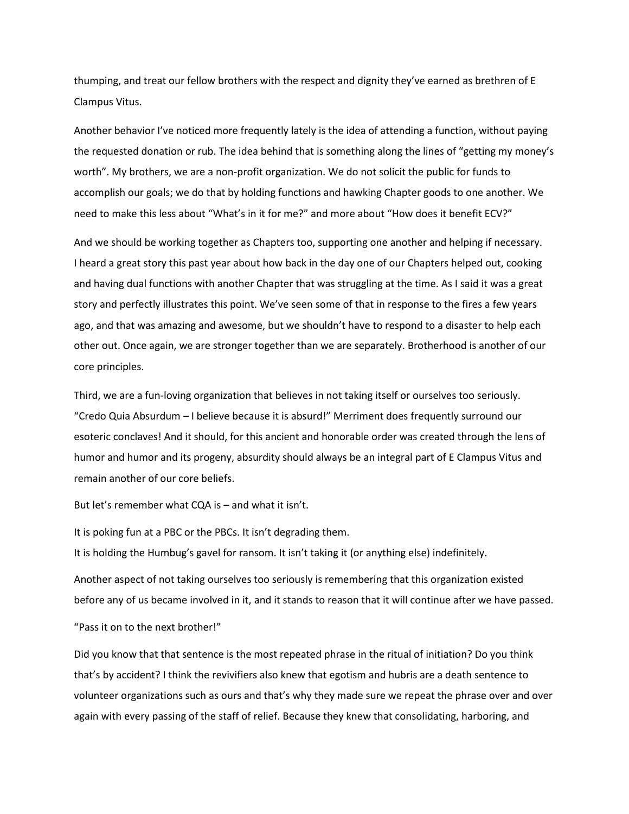thumping, and treat our fellow brothers with the respect and dignity they've earned as brethren of E Clampus Vitus.

Another behavior I've noticed more frequently lately is the idea of attending a function, without paying the requested donation or rub. The idea behind that is something along the lines of "getting my money's worth". My brothers, we are a non-profit organization. We do not solicit the public for funds to accomplish our goals; we do that by holding functions and hawking Chapter goods to one another. We need to make this less about "What's in it for me?" and more about "How does it benefit ECV?"

And we should be working together as Chapters too, supporting one another and helping if necessary. I heard a great story this past year about how back in the day one of our Chapters helped out, cooking and having dual functions with another Chapter that was struggling at the time. As I said it was a great story and perfectly illustrates this point. We've seen some of that in response to the fires a few years ago, and that was amazing and awesome, but we shouldn't have to respond to a disaster to help each other out. Once again, we are stronger together than we are separately. Brotherhood is another of our core principles.

Third, we are a fun-loving organization that believes in not taking itself or ourselves too seriously. "Credo Quia Absurdum – I believe because it is absurd!" Merriment does frequently surround our esoteric conclaves! And it should, for this ancient and honorable order was created through the lens of humor and humor and its progeny, absurdity should always be an integral part of E Clampus Vitus and remain another of our core beliefs.

But let's remember what CQA is – and what it isn't.

It is poking fun at a PBC or the PBCs. It isn't degrading them.

It is holding the Humbug's gavel for ransom. It isn't taking it (or anything else) indefinitely.

Another aspect of not taking ourselves too seriously is remembering that this organization existed before any of us became involved in it, and it stands to reason that it will continue after we have passed.

"Pass it on to the next brother!"

Did you know that that sentence is the most repeated phrase in the ritual of initiation? Do you think that's by accident? I think the revivifiers also knew that egotism and hubris are a death sentence to volunteer organizations such as ours and that's why they made sure we repeat the phrase over and over again with every passing of the staff of relief. Because they knew that consolidating, harboring, and